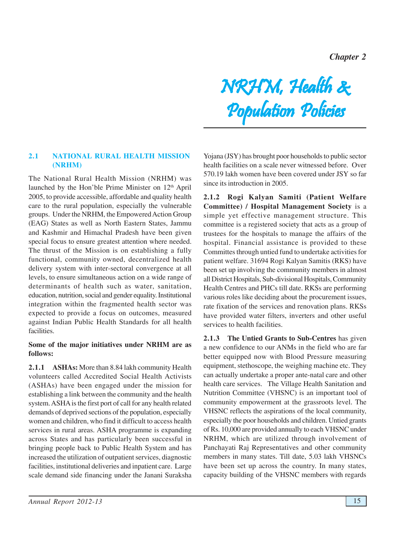*Chapter 2*

#### **2.1 NATIONAL RURAL HEALTH MISSION (NRHM)**

The National Rural Health Mission (NRHM) was launched by the Hon'ble Prime Minister on 12th April 2005, to provide accessible, affordable and quality health care to the rural population, especially the vulnerable groups. Under the NRHM, the Empowered Action Group (EAG) States as well as North Eastern States, Jammu and Kashmir and Himachal Pradesh have been given special focus to ensure greatest attention where needed. The thrust of the Mission is on establishing a fully functional, community owned, decentralized health delivery system with inter-sectoral convergence at all levels, to ensure simultaneous action on a wide range of determinants of health such as water, sanitation, education, nutrition, social and gender equality. Institutional integration within the fragmented health sector was expected to provide a focus on outcomes, measured against Indian Public Health Standards for all health facilities.

#### **Some of the major initiatives under NRHM are as follows:**

**2.1.1 ASHAs:** More than 8.84 lakh community Health volunteers called Accredited Social Health Activists (ASHAs) have been engaged under the mission for establishing a link between the community and the health system. ASHA is the first port of call for any health related demands of deprived sections of the population, especially women and children, who find it difficult to access health services in rural areas. ASHA programme is expanding across States and has particularly been successful in bringing people back to Public Health System and has increased the utilization of outpatient services, diagnostic facilities, institutional deliveries and inpatient care. Large scale demand side financing under the Janani Suraksha

Yojana (JSY) has brought poor households to public sector health facilities on a scale never witnessed before. Over 570.19 lakh women have been covered under JSY so far since its introduction in 2005.

NRHM, Health &

Population Policies Population Policies Population

**2.1.2 Rogi Kalyan Samiti (Patient Welfare Committee) / Hospital Management Society** is a simple yet effective management structure. This committee is a registered society that acts as a group of trustees for the hospitals to manage the affairs of the hospital. Financial assistance is provided to these Committes through untied fund to undertake activities for patient welfare. 31694 Rogi Kalyan Samitis (RKS) have been set up involving the community members in almost all District Hospitals, Sub-divisional Hospitals, Community Health Centres and PHCs till date. RKSs are performing various roles like deciding about the procurement issues, rate fixation of the services and renovation plans. RKSs have provided water filters, inverters and other useful services to health facilities.

**2.1.3 The Untied Grants to Sub-Centres** has given a new confidence to our ANMs in the field who are far better equipped now with Blood Pressure measuring equipment, stethoscope, the weighing machine etc. They can actually undertake a proper ante-natal care and other health care services. The Village Health Sanitation and Nutrition Committee (VHSNC) is an important tool of community empowerment at the grassroots level. The VHSNC reflects the aspirations of the local community, especially the poor households and children. Untied grants of Rs. 10,000 are provided annually to each VHSNC under NRHM, which are utilized through involvement of Panchayati Raj Representatives and other community members in many states. Till date, 5.03 lakh VHSNCs have been set up across the country. In many states, capacity building of the VHSNC members with regards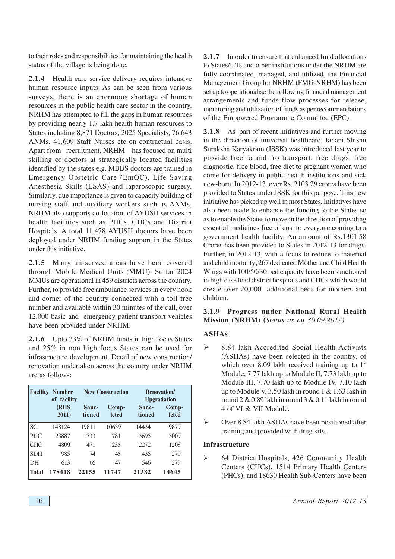to their roles and responsibilities for maintaining the health status of the village is being done.

**2.1.4** Health care service delivery requires intensive human resource inputs. As can be seen from various surveys, there is an enormous shortage of human resources in the public health care sector in the country. NRHM has attempted to fill the gaps in human resources by providing nearly 1.7 lakh health human resources to States including 8,871 Doctors, 2025 Specialists, 76,643 ANMs, 41,609 Staff Nurses etc on contractual basis. Apart from recruitment, NRHM has focused on multi skilling of doctors at strategically located facilities identified by the states e.g. MBBS doctors are trained in Emergency Obstetric Care (EmOC), Life Saving Anesthesia Skills (LSAS) and laparoscopic surgery. Similarly, due importance is given to capacity building of nursing staff and auxiliary workers such as ANMs. NRHM also supports co-location of AYUSH services in health facilities such as PHCs, CHCs and District Hospitals. A total 11,478 AYUSH doctors have been deployed under NRHM funding support in the States under this initiative.

**2.1.5** Many un-served areas have been covered through Mobile Medical Units (MMU). So far 2024 MMUs are operational in 459 districts across the country. Further, to provide free ambulance services in every nook and corner of the country connected with a toll free number and available within 30 minutes of the call, over 12,000 basic and emergency patient transport vehicles have been provided under NRHM.

**2.1.6** Upto 33% of NRHM funds in high focus States and 25% in non high focus States can be used for infrastructure development. Detail of new construction/ renovation undertaken across the country under NRHM are as follows:

| Facility     | <b>Number</b><br>of facility |                 | <b>New Construction</b> |       | <b>Renovation</b> /<br><b>Upgradation</b> |
|--------------|------------------------------|-----------------|-------------------------|-------|-------------------------------------------|
|              | <b>(RHS</b><br>2011)         | Sanc-<br>tioned | Comp-<br><b>leted</b>   |       | Comp-<br><b>leted</b>                     |
| <b>SC</b>    | 148124                       | 19811           | 10639                   | 14434 | 9879                                      |
| <b>PHC</b>   | 23887                        | 1733            | 781                     | 3695  | 3009                                      |
| <b>CHC</b>   | 4809                         | 471             | 235                     | 2272  | 1208                                      |
| <b>SDH</b>   | 985                          | 74              | 45                      | 435   | 270                                       |
| DH           | 613                          | 66              | 47                      | 546   | 279                                       |
| <b>Total</b> | 178418                       | 22155           | 11747                   | 21382 | 14645                                     |

**2.1.7** In order to ensure that enhanced fund allocations to States/UTs and other institutions under the NRHM are fully coordinated, managed, and utilized, the Financial Management Group for NRHM (FMG-NRHM) has been set up to operationalise the following financial management arrangements and funds flow processes for release, monitoring and utilization of funds as per recommendations of the Empowered Programme Committee (EPC).

**2.1.8** As part of recent initiatives and further moving in the direction of universal healthcare, Janani Shishu Suraksha Karyakram (JSSK) was introduced last year to provide free to and fro transport, free drugs, free diagnostic, free blood, free diet to pregnant women who come for delivery in public health institutions and sick new-born. In 2012-13, over Rs. 2103.29 crores have been provided to States under JSSK for this purpose. This new initiative has picked up well in most States. Initiatives have also been made to enhance the funding to the States so as to enable the States to move in the direction of providing essential medicines free of cost to everyone coming to a government health facility. An amount of Rs.1301.58 Crores has been provided to States in 2012-13 for drugs. Further, in 2012-13, with a focus to reduce to maternal and child mortality**,** 267 dedicated Mother and Child Health Wings with 100/50/30 bed capacity have been sanctioned in high case load district hospitals and CHCs which would create over 20,000 additional beds for mothers and children.

# **2.1.9 Progress under National Rural Health Mission (NRHM) (***Status as on 30.09.2012)*

# **ASHAs**

- $\geq$  8.84 lakh Accredited Social Health Activists (ASHAs) have been selected in the country, of which over 8.09 lakh received training up to  $1<sup>st</sup>$ Module, 7.77 lakh up to Module II, 7.73 lakh up to Module III, 7.70 lakh up to Module IV, 7.10 lakh up to Module V, 3.50 lakh in round 1 & 1.63 lakh in round 2  $\&$  0.89 lakh in round 3  $\&$  0.11 lakh in round 4 of VI & VII Module.
- Over 8.84 lakh ASHAs have been positioned after training and provided with drug kits.

## **Infrastructure**

 64 District Hospitals, 426 Community Health Centers (CHCs), 1514 Primary Health Centers (PHCs), and 18630 Health Sub-Centers have been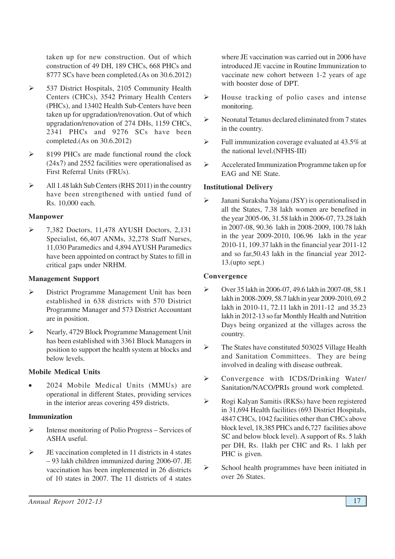taken up for new construction. Out of which construction of 49 DH, 189 CHCs, 668 PHCs and 8777 SCs have been completed.(As on 30.6.2012)

- 537 District Hospitals, 2105 Community Health Centers (CHCs), 3542 Primary Health Centers (PHCs), and 13402 Health Sub-Centers have been taken up for upgradation/renovation. Out of which upgradation/renovation of 274 DHs, 1159 CHCs, 2341 PHCs and 9276 SCs have been completed.(As on 30.6.2012)
- $\geq$  8199 PHCs are made functional round the clock (24x7) and 2552 facilities were operationalised as First Referral Units (FRUs).
- $\triangleright$  All 1.48 lakh Sub Centers (RHS 2011) in the country have been strengthened with untied fund of Rs. 10,000 each.

#### **Manpower**

 $\triangleright$  7,382 Doctors, 11,478 AYUSH Doctors, 2,131 Specialist, 66,407 ANMs, 32,278 Staff Nurses, 11,030 Paramedics and 4,894 AYUSH Paramedics have been appointed on contract by States to fill in critical gaps under NRHM.

#### **Management Support**

- District Programme Management Unit has been established in 638 districts with 570 District Programme Manager and 573 District Accountant are in position.
- Nearly, 4729 Block Programme Management Unit has been established with 3361 Block Managers in position to support the health system at blocks and below levels.

## **Mobile Medical Units**

• 2024 Mobile Medical Units (MMUs) are operational in different States, providing services in the interior areas covering 459 districts.

## **Immunization**

- $\triangleright$  Intense monitoring of Polio Progress Services of ASHA useful.
- $\triangleright$  JE vaccination completed in 11 districts in 4 states – 93 lakh children immunized during 2006-07. JE vaccination has been implemented in 26 districts of 10 states in 2007. The 11 districts of 4 states

where JE vaccination was carried out in 2006 have introduced JE vaccine in Routine Immunization to vaccinate new cohort between 1-2 years of age with booster dose of DPT.

- $\triangleright$  House tracking of polio cases and intense monitoring.
- $\triangleright$  Neonatal Tetanus declared eliminated from 7 states in the country.
- $\triangleright$  Full immunization coverage evaluated at 43.5% at the national level.(NFHS-III)
- Accelerated Immunization Programme taken up for EAG and NE State.

#### **Institutional Delivery**

 Janani Suraksha Yojana (JSY) is operationalised in all the States, 7.38 lakh women are benefited in the year 2005-06, 31.58 lakh in 2006-07, 73.28 lakh in 2007-08, 90.36 lakh in 2008-2009, 100.78 lakh in the year 2009-2010, 106.96 lakh in the year 2010-11, 109.37 lakh in the financial year 2011-12 and so far,50.43 lakh in the financial year 2012- 13.(upto sept.)

#### **Convergence**

- Over 35 lakh in 2006-07, 49.6 lakh in 2007-08, 58.1 lakh in 2008-2009, 58.7 lakh in year 2009-2010, 69.2 lakh in 2010-11, 72.11 lakh in 2011-12 and 35.23 lakh in 2012-13 so far Monthly Health and Nutrition Days being organized at the villages across the country.
- $\triangleright$  The States have constituted 503025 Village Health and Sanitation Committees. They are being involved in dealing with disease outbreak.
- Convergence with ICDS/Drinking Water/ Sanitation/NACO/PRIs ground work completed.
- Rogi Kalyan Samitis (RKSs) have been registered in 31,694 Health facilities (693 District Hospitals, 4847 CHCs, 1042 facilities other than CHCs above block level, 18,385 PHCs and 6,727 facilities above SC and below block level). A support of Rs. 5 lakh per DH, Rs. 1lakh per CHC and Rs. 1 lakh per PHC is given.
- $\triangleright$  School health programmes have been initiated in over 26 States.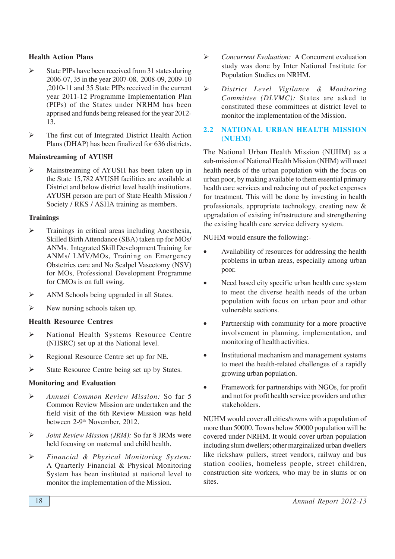#### **Health Action Plans**

- $\triangleright$  State PIPs have been received from 31 states during 2006-07, 35 in the year 2007-08, 2008-09, 2009-10 ,2010-11 and 35 State PIPs received in the current year 2011-12 Programme Implementation Plan (PIPs) of the States under NRHM has been apprised and funds being released for the year 2012- 13.
- $\triangleright$  The first cut of Integrated District Health Action Plans (DHAP) has been finalized for 636 districts.

## **Mainstreaming of AYUSH**

 Mainstreaming of AYUSH has been taken up in the State 15,782 AYUSH facilities are available at District and below district level health institutions. AYUSH person are part of State Health Mission / Society / RKS / ASHA training as members.

## **Trainings**

- $\triangleright$  Trainings in critical areas including Anesthesia, Skilled Birth Attendance (SBA) taken up for MOs/ ANMs. Integrated Skill Development Training for ANMs/ LMV/MOs, Training on Emergency Obstetrics care and No Scalpel Vasectomy (NSV) for MOs, Professional Development Programme for CMOs is on full swing.
- $\triangleright$  ANM Schools being upgraded in all States.
- $\triangleright$  New nursing schools taken up.

## **Health Resource Centres**

- National Health Systems Resource Centre (NHSRC) set up at the National level.
- Regional Resource Centre set up for NE.
- State Resource Centre being set up by States.

## **Monitoring and Evaluation**

- *Annual Common Review Mission:* So far 5 Common Review Mission are undertaken and the field visit of the 6th Review Mission was held between 2-9<sup>th</sup> November, 2012.
- *Joint Review Mission (JRM):* So far 8 JRMs were held focusing on maternal and child health.
- *Financial & Physical Monitoring System:* A Quarterly Financial & Physical Monitoring System has been instituted at national level to monitor the implementation of the Mission.
- *Concurrent Evaluation:* A Concurrent evaluation study was done by Inter National Institute for Population Studies on NRHM.
- *District Level Vigilance & Monitoring Committee (DLVMC):* States are asked to constituted these committees at district level to monitor the implementation of the Mission.

# **2.2 NATIONAL URBAN HEALTH MISSION (NUHM)**

The National Urban Health Mission (NUHM) as a sub-mission of National Health Mission (NHM) will meet health needs of the urban population with the focus on urban poor, by making available to them essential primary health care services and reducing out of pocket expenses for treatment. This will be done by investing in health professionals, appropriate technology, creating new & upgradation of existing infrastructure and strengthening the existing health care service delivery system.

NUHM would ensure the following:-

- Availability of resources for addressing the health problems in urban areas, especially among urban poor.
- Need based city specific urban health care system to meet the diverse health needs of the urban population with focus on urban poor and other vulnerable sections.
- Partnership with community for a more proactive involvement in planning, implementation, and monitoring of health activities.
- Institutional mechanism and management systems to meet the health-related challenges of a rapidly growing urban population.
- Framework for partnerships with NGOs, for profit and not for profit health service providers and other stakeholders.

NUHM would cover all cities/towns with a population of more than 50000. Towns below 50000 population will be covered under NRHM. It would cover urban population including slum dwellers; other marginalized urban dwellers like rickshaw pullers, street vendors, railway and bus station coolies, homeless people, street children, construction site workers, who may be in slums or on sites.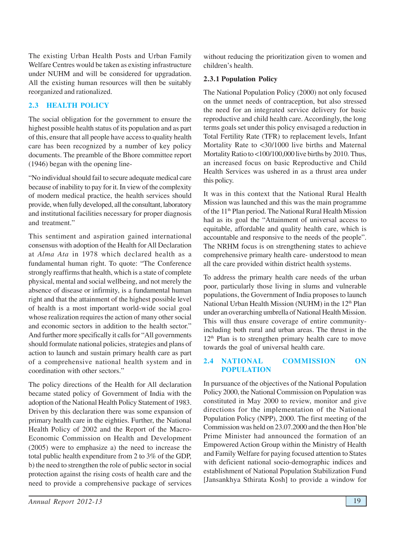The existing Urban Health Posts and Urban Family Welfare Centres would be taken as existing infrastructure under NUHM and will be considered for upgradation. All the existing human resources will then be suitably reorganized and rationalized.

# **2.3 HEALTH POLICY**

The social obligation for the government to ensure the highest possible health status of its population and as part of this, ensure that all people have access to quality health care has been recognized by a number of key policy documents. The preamble of the Bhore committee report (1946) began with the opening line-

"No individual should fail to secure adequate medical care because of inability to pay for it. In view of the complexity of modern medical practice, the health services should provide, when fully developed, all the consultant, laboratory and institutional facilities necessary for proper diagnosis and treatment."

This sentiment and aspiration gained international consensus with adoption of the Health for All Declaration at *Alma Ata* in 1978 which declared health as a fundamental human right. To quote: "The Conference strongly reaffirms that health, which is a state of complete physical, mental and social wellbeing, and not merely the absence of disease or infirmity, is a fundamental human right and that the attainment of the highest possible level of health is a most important world-wide social goal whose realization requires the action of many other social and economic sectors in addition to the health sector." And further more specifically it calls for "All governments should formulate national policies, strategies and plans of action to launch and sustain primary health care as part of a comprehensive national health system and in coordination with other sectors."

The policy directions of the Health for All declaration became stated policy of Government of India with the adoption of the National Health Policy Statement of 1983. Driven by this declaration there was some expansion of primary health care in the eighties. Further, the National Health Policy of 2002 and the Report of the Macro-Economic Commission on Health and Development (2005) were to emphasize a) the need to increase the total public health expenditure from 2 to 3% of the GDP, b) the need to strengthen the role of public sector in social protection against the rising costs of health care and the need to provide a comprehensive package of services

without reducing the prioritization given to women and children's health.

#### **2.3.1 Population Policy**

The National Population Policy (2000) not only focused on the unmet needs of contraception, but also stressed the need for an integrated service delivery for basic reproductive and child health care. Accordingly, the long terms goals set under this policy envisaged a reduction in Total Fertility Rate (TFR) to replacement levels, Infant Mortality Rate to <30/1000 live births and Maternal Mortality Ratio to <100/100,000 live births by 2010. Thus, an increased focus on basic Reproductive and Child Health Services was ushered in as a thrust area under this policy.

It was in this context that the National Rural Health Mission was launched and this was the main programme of the 11<sup>th</sup> Plan period. The National Rural Health Mission had as its goal the "Attainment of universal access to equitable, affordable and quality health care, which is accountable and responsive to the needs of the people". The NRHM focus is on strengthening states to achieve comprehensive primary health care- understood to mean all the care provided within district health systems.

To address the primary health care needs of the urban poor, particularly those living in slums and vulnerable populations, the Government of India proposes to launch National Urban Health Mission (NUHM) in the 12<sup>th</sup> Plan under an overarching umbrella of National Health Mission. This will thus ensure coverage of entire communityincluding both rural and urban areas. The thrust in the  $12<sup>th</sup>$  Plan is to strengthen primary health care to move towards the goal of universal health care.

#### **2.4 NATIONAL COMMISSION ON POPULATION**

In pursuance of the objectives of the National Population Policy 2000, the National Commission on Population was constituted in May 2000 to review, monitor and give directions for the implementation of the National Population Policy (NPP), 2000. The first meeting of the Commission was held on 23.07.2000 and the then Hon'ble Prime Minister had announced the formation of an Empowered Action Group within the Ministry of Health and Family Welfare for paying focused attention to States with deficient national socio-demographic indices and establishment of National Population Stabilization Fund [Jansankhya Sthirata Kosh] to provide a window for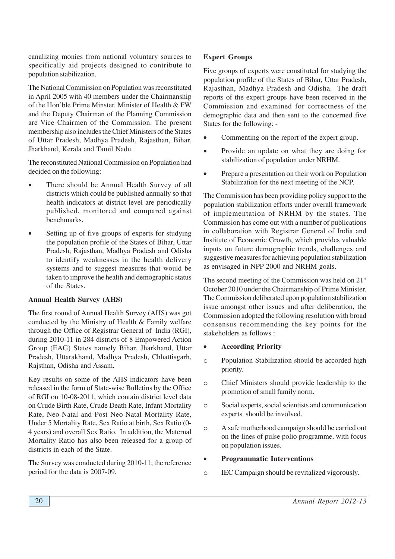canalizing monies from national voluntary sources to specifically aid projects designed to contribute to population stabilization.

The National Commission on Population was reconstituted in April 2005 with 40 members under the Chairmanship of the Hon'ble Prime Minster. Minister of Health & FW and the Deputy Chairman of the Planning Commission are Vice Chairmen of the Commission. The present membership also includes the Chief Ministers of the States of Uttar Pradesh, Madhya Pradesh, Rajasthan, Bihar, Jharkhand, Kerala and Tamil Nadu.

The reconstituted National Commission on Population had decided on the following:

- There should be Annual Health Survey of all districts which could be published annually so that health indicators at district level are periodically published, monitored and compared against benchmarks.
- Setting up of five groups of experts for studying the population profile of the States of Bihar, Uttar Pradesh, Rajasthan, Madhya Pradesh and Odisha to identify weaknesses in the health delivery systems and to suggest measures that would be taken to improve the health and demographic status of the States.

#### **Annual Health Survey (AHS)**

The first round of Annual Health Survey (AHS) was got conducted by the Ministry of Health & Family welfare through the Office of Registrar General of India (RGI), during 2010-11 in 284 districts of 8 Empowered Action Group (EAG) States namely Bihar, Jharkhand, Uttar Pradesh, Uttarakhand, Madhya Pradesh, Chhattisgarh, Rajsthan, Odisha and Assam.

Key results on some of the AHS indicators have been released in the form of State-wise Bulletins by the Office of RGI on 10-08-2011, which contain district level data on Crude Birth Rate, Crude Death Rate, Infant Mortality Rate, Neo-Natal and Post Neo-Natal Mortality Rate, Under 5 Mortality Rate, Sex Ratio at birth, Sex Ratio (0- 4 years) and overall Sex Ratio. In addition, the Maternal Mortality Ratio has also been released for a group of districts in each of the State.

The Survey was conducted during 2010-11; the reference period for the data is 2007-09.

## **Expert Groups**

Five groups of experts were constituted for studying the population profile of the States of Bihar, Uttar Pradesh, Rajasthan, Madhya Pradesh and Odisha. The draft reports of the expert groups have been received in the Commission and examined for correctness of the demographic data and then sent to the concerned five States for the following: -

- Commenting on the report of the expert group.
- Provide an update on what they are doing for stabilization of population under NRHM.
- Prepare a presentation on their work on Population Stabilization for the next meeting of the NCP.

The Commission has been providing policy support to the population stabilization efforts under overall framework of implementation of NRHM by the states. The Commission has come out with a number of publications in collaboration with Registrar General of India and Institute of Economic Growth, which provides valuable inputs on future demographic trends, challenges and suggestive measures for achieving population stabilization as envisaged in NPP 2000 and NRHM goals.

The second meeting of the Commission was held on  $21<sup>st</sup>$ October 2010 under the Chairmanship of Prime Minister. The Commission deliberated upon population stabilization issue amongst other issues and after deliberation, the Commission adopted the following resolution with broad consensus recommending the key points for the stakeholders as follows :

#### • **According Priority**

- o Population Stabilization should be accorded high priority.
- o Chief Ministers should provide leadership to the promotion of small family norm.
- o Social experts, social scientists and communication experts should be involved.
- o A safe motherhood campaign should be carried out on the lines of pulse polio programme, with focus on population issues.

#### • **Programmatic Interventions**

o IEC Campaign should be revitalized vigorously.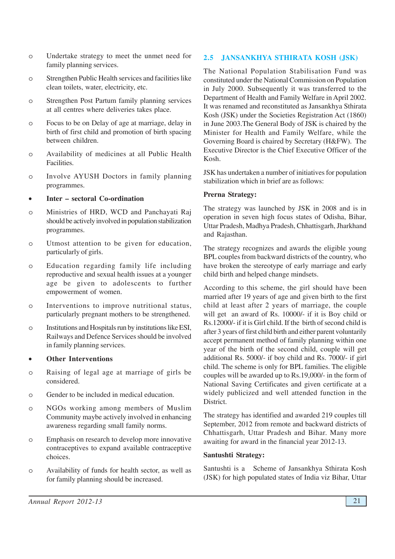- o Undertake strategy to meet the unmet need for family planning services.
- o Strengthen Public Health services and facilities like clean toilets, water, electricity, etc.
- o Strengthen Post Partum family planning services at all centres where deliveries takes place.
- o Focus to be on Delay of age at marriage, delay in birth of first child and promotion of birth spacing between children.
- o Availability of medicines at all Public Health Facilities.
- o Involve AYUSH Doctors in family planning programmes.

## • **Inter – sectoral Co-ordination**

- o Ministries of HRD, WCD and Panchayati Raj should be actively involved in population stabilization programmes.
- o Utmost attention to be given for education, particularly of girls.
- o Education regarding family life including reproductive and sexual health issues at a younger age be given to adolescents to further empowerment of women.
- o Interventions to improve nutritional status, particularly pregnant mothers to be strengthened.
- o Institutions and Hospitals run by institutions like ESI, Railways and Defence Services should be involved in family planning services.

## • **Other Interventions**

- o Raising of legal age at marriage of girls be considered.
- o Gender to be included in medical education.
- o NGOs working among members of Muslim Community maybe actively involved in enhancing awareness regarding small family norms.
- o Emphasis on research to develop more innovative contraceptives to expand available contraceptive choices.
- o Availability of funds for health sector, as well as for family planning should be increased.

# **2.5 JANSANKHYA STHIRATA KOSH (JSK)**

The National Population Stabilisation Fund was constituted under the National Commission on Population in July 2000. Subsequently it was transferred to the Department of Health and Family Welfare in April 2002. It was renamed and reconstituted as Jansankhya Sthirata Kosh (JSK) under the Societies Registration Act (1860) in June 2003.The General Body of JSK is chaired by the Minister for Health and Family Welfare, while the Governing Board is chaired by Secretary (H&FW). The Executive Director is the Chief Executive Officer of the Kosh.

JSK has undertaken a number of initiatives for population stabilization which in brief are as follows:

#### **Prerna Strategy:**

The strategy was launched by JSK in 2008 and is in operation in seven high focus states of Odisha, Bihar, Uttar Pradesh, Madhya Pradesh, Chhattisgarh, Jharkhand and Rajasthan.

The strategy recognizes and awards the eligible young BPL couples from backward districts of the country, who have broken the stereotype of early marriage and early child birth and helped change mindsets.

According to this scheme, the girl should have been married after 19 years of age and given birth to the first child at least after 2 years of marriage, the couple will get an award of Rs. 10000/- if it is Boy child or Rs.12000/- if it is Girl child. If the birth of second child is after 3 years of first child birth and either parent voluntarily accept permanent method of family planning within one year of the birth of the second child, couple will get additional Rs. 5000/- if boy child and Rs. 7000/- if girl child. The scheme is only for BPL families. The eligible couples will be awarded up to Rs.19,000/- in the form of National Saving Certificates and given certificate at a widely publicized and well attended function in the District.

The strategy has identified and awarded 219 couples till September, 2012 from remote and backward districts of Chhattisgarh, Uttar Pradesh and Bihar. Many more awaiting for award in the financial year 2012-13.

#### **Santushti Strategy:**

Santushti is a Scheme of Jansankhya Sthirata Kosh (JSK) for high populated states of India viz Bihar, Uttar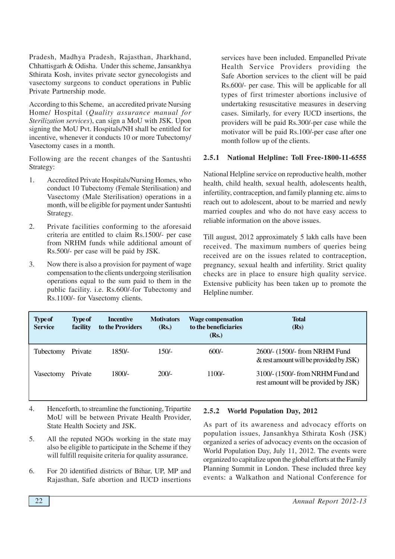Pradesh, Madhya Pradesh, Rajasthan, Jharkhand, Chhattisgarh & Odisha. Under this scheme, Jansankhya Sthirata Kosh, invites private sector gynecologists and vasectomy surgeons to conduct operations in Public Private Partnership mode.

According to this Scheme, an accredited private Nursing Home/ Hospital (*Quality assurance manual for Sterilization services*), can sign a MoU with JSK. Upon signing the MoU Pvt. Hospitals/NH shall be entitled for incentive, whenever it conducts 10 or more Tubectomy/ Vasectomy cases in a month.

Following are the recent changes of the Santushti Strategy:

- 1. Accredited Private Hospitals/Nursing Homes, who conduct 10 Tubectomy (Female Sterilisation) and Vasectomy (Male Sterilisation) operations in a month, will be eligible for payment under Santushti Strategy.
- 2. Private facilities conforming to the aforesaid criteria are entitled to claim Rs.1500/- per case from NRHM funds while additional amount of Rs.500/- per case will be paid by JSK.
- 3. Now there is also a provision for payment of wage compensation to the clients undergoing sterilisation operations equal to the sum paid to them in the public facility. i.e. Rs.600/-for Tubectomy and Rs.1100/- for Vasectomy clients.

services have been included. Empanelled Private Health Service Providers providing the Safe Abortion services to the client will be paid Rs.600/- per case. This will be applicable for all types of first trimester abortions inclusive of undertaking resuscitative measures in deserving cases. Similarly, for every IUCD insertions, the providers will be paid Rs.300/-per case while the motivator will be paid Rs.100/-per case after one month follow up of the clients.

## **2.5.1 National Helpline: Toll Free-1800-11-6555**

National Helpline service on reproductive health, mother health, child health, sexual health, adolescents health, infertility, contraception, and family planning etc. aims to reach out to adolescent, about to be married and newly married couples and who do not have easy access to reliable information on the above issues.

Till august, 2012 approximately 5 lakh calls have been received. The maximum numbers of queries being received are on the issues related to contraception, pregnancy, sexual health and infertility. Strict quality checks are in place to ensure high quality service. Extensive publicity has been taken up to promote the Helpline number.

| <b>Type of</b><br><b>Service</b> | <b>Type of</b><br>facility | <b>Incentive</b><br>to the Providers | <b>Motivators</b><br>(Rs.) | <b>Wage compensation</b><br>to the beneficiaries<br>(Rs.) | <b>Total</b><br>(Rs)                                                       |
|----------------------------------|----------------------------|--------------------------------------|----------------------------|-----------------------------------------------------------|----------------------------------------------------------------------------|
| Tubectomy                        | Private                    | 1850/-                               | $150/-$                    | $600/-$                                                   | 2600/- (1500/- from NRHM Fund<br>$\&$ rest amount will be provided by JSK) |
| Vasectomy                        | Private                    | 1800/-                               | $200/-$                    | $1100/-$                                                  | 3100/- (1500/- from NRHM Fund and<br>rest amount will be provided by JSK)  |

- 4. Henceforth, to streamline the functioning, Tripartite MoU will be between Private Health Provider, State Health Society and JSK.
- 5. All the reputed NGOs working in the state may also be eligible to participate in the Scheme if they will fulfill requisite criteria for quality assurance.
- 6. For 20 identified districts of Bihar, UP, MP and Rajasthan, Safe abortion and IUCD insertions

## **2.5.2 World Population Day, 2012**

As part of its awareness and advocacy efforts on population issues, Jansankhya Sthirata Kosh (JSK) organized a series of advocacy events on the occasion of World Population Day, July 11, 2012. The events were organized to capitalize upon the global efforts at the Family Planning Summit in London. These included three key events: a Walkathon and National Conference for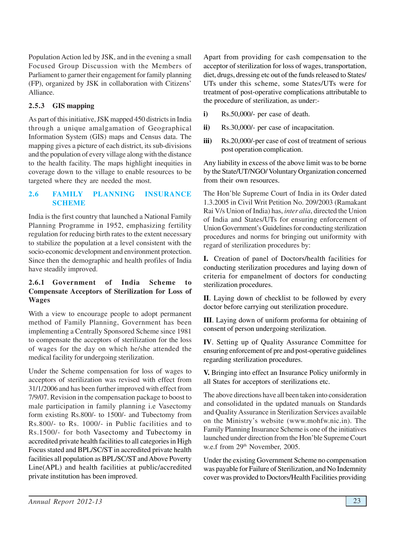Population Action led by JSK, and in the evening a small Focused Group Discussion with the Members of Parliament to garner their engagement for family planning (FP), organized by JSK in collaboration with Citizens' Alliance.

# **2.5.3 GIS mapping**

As part of this initiative, JSK mapped 450 districts in India through a unique amalgamation of Geographical Information System (GIS) maps and Census data. The mapping gives a picture of each district, its sub-divisions and the population of every village along with the distance to the health facility. The maps highlight inequities in coverage down to the village to enable resources to be targeted where they are needed the most.

# **2.6 FAMILY PLANNING INSURANCE SCHEME**

India is the first country that launched a National Family Planning Programme in 1952, emphasizing fertility regulation for reducing birth rates to the extent necessary to stabilize the population at a level consistent with the socio-economic development and environment protection. Since then the demographic and health profiles of India have steadily improved.

## **2.6.1 Government of India Scheme to Compensate Acceptors of Sterilization for Loss of Wages**

With a view to encourage people to adopt permanent method of Family Planning, Government has been implementing a Centrally Sponsored Scheme since 1981 to compensate the acceptors of sterilization for the loss of wages for the day on which he/she attended the medical facility for undergoing sterilization.

Under the Scheme compensation for loss of wages to acceptors of sterilization was revised with effect from 31/1/2006 and has been further improved with effect from 7/9/07. Revision in the compensation package to boost to male participation in family planning i.e Vasectomy form existing Rs.800/- to 1500/- and Tubectomy from Rs.800/- to Rs. 1000/- in Public facilities and to Rs.1500/- for both Vasectomy and Tubectomy in accredited private health facilities to all categories in High Focus stated and BPL/SC/ST in accredited private health facilities all population as BPL/SC/ST and Above Poverty Line(APL) and health facilities at public/accredited private institution has been improved.

Apart from providing for cash compensation to the acceptor of sterilization for loss of wages, transportation, diet, drugs, dressing etc out of the funds released to States/ UTs under this scheme, some States/UTs were for treatment of post-operative complications attributable to the procedure of sterilization, as under:-

- **i)** Rs.50,000/- per case of death.
- **ii)** Rs.30,000/- per case of incapacitation.
- **iii)** Rs.20,000/-per case of cost of treatment of serious post operation complication.

Any liability in excess of the above limit was to be borne by the State/UT/NGO/ Voluntary Organization concerned from their own resources.

The Hon'ble Supreme Court of India in its Order dated 1.3.2005 in Civil Writ Petition No. 209/2003 (Ramakant Rai V/s Union of India) has, *inter alia*, directed the Union of India and States/UTs for ensuring enforcement of Union Government's Guidelines for conducting sterilization procedures and norms for bringing out uniformity with regard of sterilization procedures by:

**I.** Creation of panel of Doctors/health facilities for conducting sterilization procedures and laying down of criteria for empanelment of doctors for conducting sterilization procedures.

**II**. Laying down of checklist to be followed by every doctor before carrying out sterilization procedure.

**III**. Laying down of uniform proforma for obtaining of consent of person undergoing sterilization.

**IV**. Setting up of Quality Assurance Committee for ensuring enforcement of pre and post-operative guidelines regarding sterilization procedures.

**V.** Bringing into effect an Insurance Policy uniformly in all States for acceptors of sterilizations etc.

The above directions have all been taken into consideration and consolidated in the updated manuals on Standards and Quality Assurance in Sterilization Services available on the Ministry's website (www.mohfw.nic.in). The Family Planning Insurance Scheme is one of the initiatives launched under direction from the Hon'ble Supreme Court w.e.f from 29<sup>th</sup> November, 2005.

Under the existing Government Scheme no compensation was payable for Failure of Sterilization, and No Indemnity cover was provided to Doctors/Health Facilities providing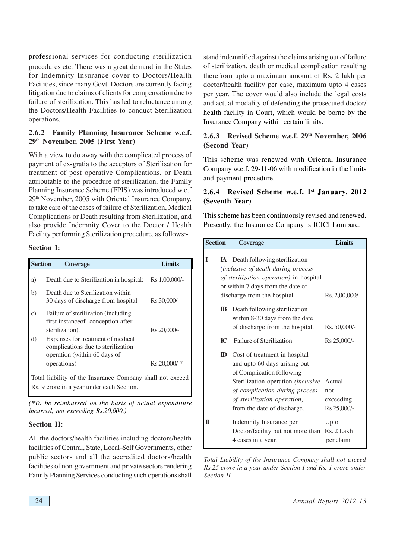professional services for conducting sterilization procedures etc. There was a great demand in the States for Indemnity Insurance cover to Doctors/Health Facilities, since many Govt. Doctors are currently facing litigation due to claims of clients for compensation due to failure of sterilization. This has led to reluctance among the Doctors/Health Facilities to conduct Sterilization operations.

## **2.6.2 Family Planning Insurance Scheme w.e.f. 29th November, 2005 (First Year)**

With a view to do away with the complicated process of payment of ex-gratia to the acceptors of Sterilisation for treatment of post operative Complications, or Death attributable to the procedure of sterilization, the Family Planning Insurance Scheme (FPIS) was introduced w.e.f 29th November, 2005 with Oriental Insurance Company, to take care of the cases of failure of Sterilization, Medical Complications or Death resulting from Sterilization, and also provide Indemnity Cover to the Doctor / Health Facility performing Sterilization procedure, as follows:-

#### **Section I:**

| <b>Section</b>  | <b>Coverage</b>                                                                                         | Limits          |
|-----------------|---------------------------------------------------------------------------------------------------------|-----------------|
| a)              | Death due to Sterilization in hospital:                                                                 | Rs.1,00,000/-   |
| b)              | Death due to Sterilization within<br>30 days of discharge from hospital                                 | Rs.30,000/-     |
| $\mathcal{C}$ ) | Failure of sterilization (including<br>first instance of conception after                               |                 |
|                 | sterilization).                                                                                         | Rs.20,000/-     |
| d)              | Expenses for treatment of medical<br>complications due to sterilization<br>operation (within 60 days of |                 |
|                 | operations)                                                                                             | $Rs.20,000/$ -* |
|                 | Total liability of the Insurance Company shall not exceed                                               |                 |
|                 | Rs. 9 crore in a year under each Section.                                                               |                 |

*(\*To be reimbursed on the basis of actual expenditure incurred, not exceeding Rs.20,000.)*

#### **Section II:**

All the doctors/health facilities including doctors/health facilities of Central, State, Local-Self Governments, other public sectors and all the accredited doctors/health facilities of non-government and private sectors rendering Family Planning Services conducting such operations shall stand indemnified against the claims arising out of failure of sterilization, death or medical complication resulting therefrom upto a maximum amount of Rs. 2 lakh per doctor/health facility per case, maximum upto 4 cases per year. The cover would also include the legal costs and actual modality of defending the prosecuted doctor/ health facility in Court, which would be borne by the Insurance Company within certain limits.

# **2.6.3 Revised Scheme w.e.f. 29th November, 2006 (Second Year)**

This scheme was renewed with Oriental Insurance Company w.e.f. 29-11-06 with modification in the limits and payment procedure.

## **2.6.4 Revised Scheme w.e.f. 1st January, 2012 (Seventh Year)**

This scheme has been continuously revised and renewed. Presently, the Insurance Company is ICICI Lombard.

| <b>Section</b> |                           | <b>Coverage</b>                                                                                                                                                                                   | <b>Limits</b>              |
|----------------|---------------------------|---------------------------------------------------------------------------------------------------------------------------------------------------------------------------------------------------|----------------------------|
| I              |                           | <b>IA</b> Death following sterilization<br>(inclusive of death during process<br>of sterilization operation) in hospital<br>or within 7 days from the date of<br>discharge from the hospital.     | Rs. 2,00,000/-             |
|                | $\mathbf{I}\mathbf{B}$    | Death following sterilization<br>within 8-30 days from the date<br>of discharge from the hospital.                                                                                                | Rs. 50,000/-               |
|                | $\mathbf{I}^{\mathbf{C}}$ | Failure of Sterilization                                                                                                                                                                          | Rs 25,000/-                |
|                | D                         | Cost of treatment in hospital<br>and upto 60 days arising out<br>of Complication following<br>Sterilization operation (inclusive<br>of complication during process<br>of sterilization operation) | Actual<br>not<br>exceeding |
|                |                           | from the date of discharge.                                                                                                                                                                       | Rs 25,000/-                |
| π              |                           | Indemnity Insurance per<br>Doctor/facility but not more than Rs. 2 Lakh<br>4 cases in a year.                                                                                                     | Upto<br>per claim          |

*Total Liability of the Insurance Company shall not exceed Rs.25 crore in a year under Section-I and Rs. 1 crore under Section-II.*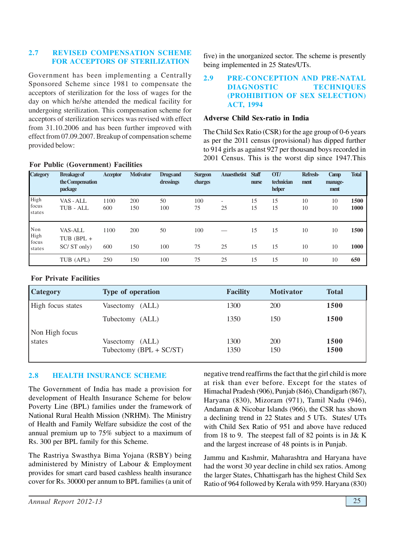## **2.7 REVISED COMPENSATION SCHEME FOR ACCEPTORS OF STERILIZATION**

Government has been implementing a Centrally Sponsored Scheme since 1981 to compensate the acceptors of sterilization for the loss of wages for the day on which he/she attended the medical facility for undergoing sterilization. This compensation scheme for acceptors of sterilization services was revised with effect from 31.10.2006 and has been further improved with effect from 07.09.2007. Breakup of compensation scheme provided below:

five) in the unorganized sector. The scheme is presently being implemented in 25 States/UTs.

#### **2.9 PRE-CONCEPTION AND PRE-NATAL DIAGNOSTIC TECHNIQUES (PROHIBITION OF SEX SELECTION) ACT, 1994**

#### **Adverse Child Sex-ratio in India**

The Child Sex Ratio (CSR) for the age group of 0-6 years as per the 2011 census (provisional) has dipped further to 914 girls as against 927 per thousand boys recorded in 2001 Census. This is the worst dip since 1947.This

| <b>Category</b>                | <b>Breakage of</b><br>the Compensation<br>package | <b>Acceptor</b> | <b>Motivator</b> | <b>Drugs</b> and<br>dressings | <b>Surgeon</b><br>charges | <b>Anaesthetist</b>            | <b>Staff</b><br>nurse | OT/<br>technician<br>helper | Refresh-<br>ment | Camp<br>manage-<br>ment | <b>Total</b> |
|--------------------------------|---------------------------------------------------|-----------------|------------------|-------------------------------|---------------------------|--------------------------------|-----------------------|-----------------------------|------------------|-------------------------|--------------|
| High<br>focus<br>states        | VAS - ALL<br>TUB - ALL                            | 1100<br>600     | 200<br>150       | 50<br>100                     | 100<br>75                 | $\overline{\phantom{a}}$<br>25 | 15<br>15              | 15<br>15                    | 10<br>10         | 10<br>10                | 1500<br>1000 |
| Non<br>High<br>focus<br>states | <b>VAS-ALL</b><br>TUB (BPL $+$<br>SC/ST only)     | 1100<br>600     | 200<br>150       | 50<br>100                     | 100<br>75                 | 25                             | 15<br>15              | 15<br>15                    | 10<br>10         | 10<br>10                | 1500<br>1000 |
|                                | TUB (APL)                                         | 250             | 150              | 100                           | 75                        | 25                             | 15                    | 15                          | 10               | 10                      | 650          |

## **For Public (Government) Facilities**

#### **For Private Facilities**

| <b>Category</b>   | <b>Type of operation</b>  | <b>Facility</b> | <b>Motivator</b> | <b>Total</b> |
|-------------------|---------------------------|-----------------|------------------|--------------|
| High focus states | Vasectomy (ALL)           | 1300            | 200              | <b>1500</b>  |
|                   | Tubectomy (ALL)           | 1350            | 150              | <b>1500</b>  |
| Non High focus    |                           |                 |                  |              |
| states            | Vasectomy (ALL)           | 1300            | <b>200</b>       | <b>1500</b>  |
|                   | Tubectomy $(BPL + SC/ST)$ | 1350            | 150              | <b>1500</b>  |

## **2.8 HEALTH INSURANCE SCHEME**

The Government of India has made a provision for development of Health Insurance Scheme for below Poverty Line (BPL) families under the framework of National Rural Health Mission (NRHM). The Ministry of Health and Family Welfare subsidize the cost of the annual premium up to 75% subject to a maximum of Rs. 300 per BPL family for this Scheme.

The Rastriya Swasthya Bima Yojana (RSBY) being administered by Ministry of Labour & Employment provides for smart card based cashless health insurance cover for Rs. 30000 per annum to BPL families (a unit of negative trend reaffirms the fact that the girl child is more at risk than ever before. Except for the states of Himachal Pradesh (906), Punjab (846), Chandigarh (867), Haryana (830), Mizoram (971), Tamil Nadu (946), Andaman & Nicobar Islands (966), the CSR has shown a declining trend in 22 States and 5 UTs. States/ UTs with Child Sex Ratio of 951 and above have reduced from 18 to 9. The steepest fall of 82 points is in J& K and the largest increase of 48 points is in Punjab.

Jammu and Kashmir, Maharashtra and Haryana have had the worst 30 year decline in child sex ratios. Among the larger States, Chhattisgarh has the highest Child Sex Ratio of 964 followed by Kerala with 959. Haryana (830)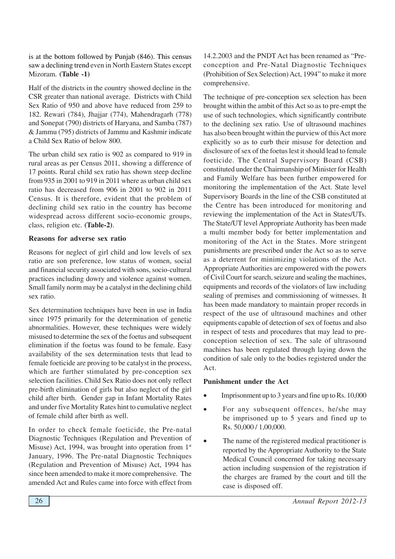is at the bottom followed by Punjab (846). This census saw a declining trend even in North Eastern States except Mizoram. **(Table -1)**

Half of the districts in the country showed decline in the CSR greater than national average. Districts with Child Sex Ratio of 950 and above have reduced from 259 to 182. Rewari (784), Jhajjar (774), Mahendragarh (778) and Sonepat (790) districts of Haryana, and Samba (787) & Jammu (795) districts of Jammu and Kashmir indicate a Child Sex Ratio of below 800.

The urban child sex ratio is 902 as compared to 919 in rural areas as per Census 2011, showing a difference of 17 points. Rural child sex ratio has shown steep decline from 935 in 2001 to 919 in 2011 where as urban child sex ratio has decreased from 906 in 2001 to 902 in 2011 Census. It is therefore, evident that the problem of declining child sex ratio in the country has become widespread across different socio-economic groups, class, religion etc. **(Table-2)**.

#### **Reasons for adverse sex ratio**

Reasons for neglect of girl child and low levels of sex ratio are son preference, low status of women, social and financial security associated with sons, socio-cultural practices including dowry and violence against women. Small family norm may be a catalyst in the declining child sex ratio.

Sex determination techniques have been in use in India since 1975 primarily for the determination of genetic abnormalities. However, these techniques were widely misused to determine the sex of the foetus and subsequent elimination if the foetus was found to be female. Easy availability of the sex determination tests that lead to female foeticide are proving to be catalyst in the process, which are further stimulated by pre-conception sex selection facilities. Child Sex Ratio does not only reflect pre-birth elimination of girls but also neglect of the girl child after birth. Gender gap in Infant Mortality Rates and under five Mortality Rates hint to cumulative neglect of female child after birth as well.

In order to check female foeticide, the Pre-natal Diagnostic Techniques (Regulation and Prevention of Misuse) Act, 1994, was brought into operation from  $1<sup>st</sup>$ January, 1996. The Pre-natal Diagnostic Techniques (Regulation and Prevention of Misuse) Act, 1994 has since been amended to make it more comprehensive. The amended Act and Rules came into force with effect from

14.2.2003 and the PNDT Act has been renamed as "Preconception and Pre-Natal Diagnostic Techniques (Prohibition of Sex Selection) Act, 1994" to make it more comprehensive.

The technique of pre-conception sex selection has been brought within the ambit of this Act so as to pre-empt the use of such technologies, which significantly contribute to the declining sex ratio. Use of ultrasound machines has also been brought within the purview of this Act more explicitly so as to curb their misuse for detection and disclosure of sex of the foetus lest it should lead to female foeticide. The Central Supervisory Board (CSB) constituted under the Chairmanship of Minister for Health and Family Welfare has been further empowered for monitoring the implementation of the Act. State level Supervisory Boards in the line of the CSB constituted at the Centre has been introduced for monitoring and reviewing the implementation of the Act in States/UTs. The State/UT level Appropriate Authority has been made a multi member body for better implementation and monitoring of the Act in the States. More stringent punishments are prescribed under the Act so as to serve as a deterrent for minimizing violations of the Act. Appropriate Authorities are empowered with the powers of Civil Court for search, seizure and sealing the machines, equipments and records of the violators of law including sealing of premises and commissioning of witnesses. It has been made mandatory to maintain proper records in respect of the use of ultrasound machines and other equipments capable of detection of sex of foetus and also in respect of tests and procedures that may lead to preconception selection of sex. The sale of ultrasound machines has been regulated through laying down the condition of sale only to the bodies registered under the Act.

#### **Punishment under the Act**

- Imprisonment up to 3 years and fine up to Rs. 10,000
- For any subsequent offences, he/she may be imprisoned up to 5 years and fined up to Rs. 50,000 / 1,00,000.
- The name of the registered medical practitioner is reported by the Appropriate Authority to the State Medical Council concerned for taking necessary action including suspension of the registration if the charges are framed by the court and till the case is disposed off.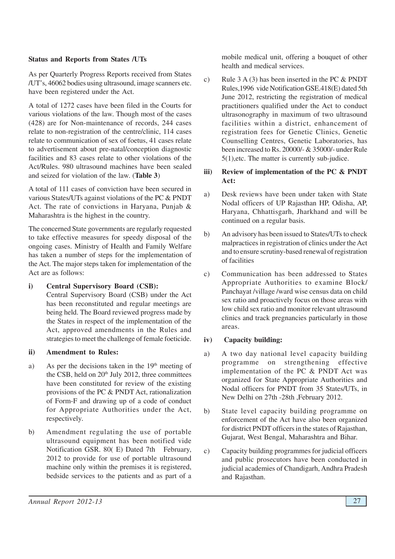#### **Status and Reports from States /UTs**

As per Quarterly Progress Reports received from States /UT's, 46062 bodies using ultrasound, image scanners etc. have been registered under the Act.

A total of 1272 cases have been filed in the Courts for various violations of the law. Though most of the cases (428) are for Non-maintenance of records, 244 cases relate to non-registration of the centre/clinic, 114 cases relate to communication of sex of foetus, 41 cases relate to advertisement about pre-natal/conception diagnostic facilities and 83 cases relate to other violations of the Act/Rules. 980 ultrasound machines have been sealed and seized for violation of the law. (**Table 3**)

A total of 111 cases of conviction have been secured in various States/UTs against violations of the PC & PNDT Act. The rate of convictions in Haryana, Punjab & Maharashtra is the highest in the country.

The concerned State governments are regularly requested to take effective measures for speedy disposal of the ongoing cases. Ministry of Health and Family Welfare has taken a number of steps for the implementation of the Act. The major steps taken for implementation of the Act are as follows:

## **i) Central Supervisory Board (CSB):**

Central Supervisory Board (CSB) under the Act has been reconstituted and regular meetings are being held. The Board reviewed progress made by the States in respect of the implementation of the Act, approved amendments in the Rules and strategies to meet the challenge of female foeticide.

#### **ii) Amendment to Rules:**

- a) As per the decisions taken in the  $19<sup>th</sup>$  meeting of the CSB, held on  $20<sup>th</sup>$  July 2012, three committees have been constituted for review of the existing provisions of the PC & PNDT Act, rationalization of Form-F and drawing up of a code of conduct for Appropriate Authorities under the Act, respectively.
- b) Amendment regulating the use of portable ultrasound equipment has been notified vide Notification GSR. 80( E) Dated 7th February, 2012 to provide for use of portable ultrasound machine only within the premises it is registered, bedside services to the patients and as part of a

mobile medical unit, offering a bouquet of other health and medical services.

c) Rule  $3 A(3)$  has been inserted in the PC & PNDT Rules,1996 vide Notification GSE.418(E) dated 5th June 2012, restricting the registration of medical practitioners qualified under the Act to conduct ultrasonography in maximum of two ultrasound facilities within a district, enhancement of registration fees for Genetic Clinics, Genetic Counselling Centres, Genetic Laboratories, has been increased to Rs. 20000/- & 35000/- under Rule 5(1),etc. The matter is currently sub-judice.

# **iii) Review of implementation of the PC & PNDT Act:**

- a) Desk reviews have been under taken with State Nodal officers of UP Rajasthan HP, Odisha, AP, Haryana, Chhattisgarh, Jharkhand and will be continued on a regular basis.
- b) An advisory has been issued to States/UTs to check malpractices in registration of clinics under the Act and to ensure scrutiny-based renewal of registration of facilities
- c) Communication has been addressed to States Appropriate Authorities to examine Block/ Panchayat /village /ward wise census data on child sex ratio and proactively focus on those areas with low child sex ratio and monitor relevant ultrasound clinics and track pregnancies particularly in those areas.

## **iv) Capacity building:**

- a) A two day national level capacity building programme on strengthening effective implementation of the PC & PNDT Act was organized for State Appropriate Authorities and Nodal officers for PNDT from 35 States/UTs, in New Delhi on 27th -28th ,February 2012.
- b) State level capacity building programme on enforcement of the Act have also been organized for district PNDT officers in the states of Rajasthan, Gujarat, West Bengal, Maharashtra and Bihar.
- c) Capacity building programmes for judicial officers and public prosecutors have been conducted in judicial academies of Chandigarh, Andhra Pradesh and Rajasthan.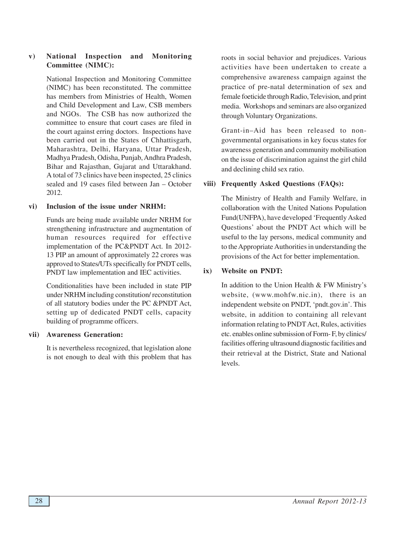# **v) National Inspection and Monitoring Committee (NIMC):**

National Inspection and Monitoring Committee (NIMC) has been reconstituted. The committee has members from Ministries of Health, Women and Child Development and Law, CSB members and NGOs. The CSB has now authorized the committee to ensure that court cases are filed in the court against erring doctors. Inspections have been carried out in the States of Chhattisgarh, Maharashtra, Delhi, Haryana, Uttar Pradesh, Madhya Pradesh, Odisha, Punjab, Andhra Pradesh, Bihar and Rajasthan, Gujarat and Uttarakhand. A total of 73 clinics have been inspected, 25 clinics sealed and 19 cases filed between Jan – October 2012.

#### **vi) Inclusion of the issue under NRHM:**

Funds are being made available under NRHM for strengthening infrastructure and augmentation of human resources required for effective implementation of the PC&PNDT Act. In 2012- 13 PIP an amount of approximately 22 crores was approved to States/UTs specifically for PNDT cells, PNDT law implementation and IEC activities.

Conditionalities have been included in state PIP under NRHM including constitution/ reconstitution of all statutory bodies under the PC &PNDT Act, setting up of dedicated PNDT cells, capacity building of programme officers.

## **vii) Awareness Generation:**

It is nevertheless recognized, that legislation alone is not enough to deal with this problem that has roots in social behavior and prejudices. Various activities have been undertaken to create a comprehensive awareness campaign against the practice of pre-natal determination of sex and female foeticide through Radio, Television, and print media. Workshops and seminars are also organized through Voluntary Organizations.

Grant-in–Aid has been released to nongovernmental organisations in key focus states for awareness generation and community mobilisation on the issue of discrimination against the girl child and declining child sex ratio.

# **viii) Frequently Asked Questions (FAQs):**

The Ministry of Health and Family Welfare, in collaboration with the United Nations Population Fund(UNFPA), have developed 'Frequently Asked Questions' about the PNDT Act which will be useful to the lay persons, medical community and to the Appropriate Authorities in understanding the provisions of the Act for better implementation.

# **ix) Website on PNDT:**

In addition to the Union Health & FW Ministry's website, (www.mohfw.nic.in), there is an independent website on PNDT, 'pndt.gov.in'. This website, in addition to containing all relevant information relating to PNDT Act, Rules, activities etc. enables online submission of Form- F, by clinics/ facilities offering ultrasound diagnostic facilities and their retrieval at the District, State and National levels.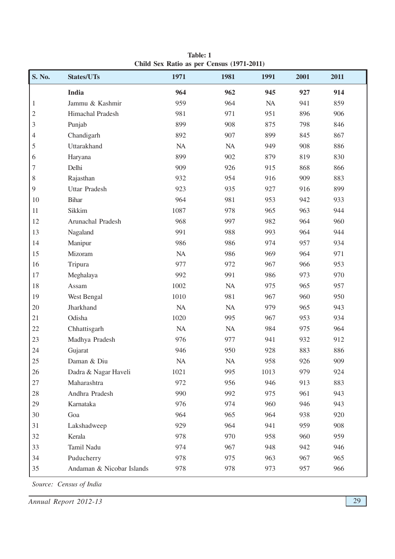| <b>S. No.</b>  | States/UTs                | 1971     | 1981     | 1991 | 2001 | 2011 |
|----------------|---------------------------|----------|----------|------|------|------|
|                | <b>India</b>              | 964      | 962      | 945  | 927  | 914  |
| $\mathbf{1}$   | Jammu & Kashmir           | 959      | 964      | NA   | 941  | 859  |
| $\sqrt{2}$     | Himachal Pradesh          | 981      | 971      | 951  | 896  | 906  |
| $\mathfrak{Z}$ | Punjab                    | 899      | 908      | 875  | 798  | 846  |
| 4              | Chandigarh                | 892      | 907      | 899  | 845  | 867  |
| 5              | Uttarakhand               | NA       | $\rm NA$ | 949  | 908  | 886  |
| 6              | Haryana                   | 899      | 902      | 879  | 819  | 830  |
| $\sqrt{ }$     | Delhi                     | 909      | 926      | 915  | 868  | 866  |
| $\,$ $\,$      | Rajasthan                 | 932      | 954      | 916  | 909  | 883  |
| $\overline{9}$ | <b>Uttar Pradesh</b>      | 923      | 935      | 927  | 916  | 899  |
| 10             | <b>Bihar</b>              | 964      | 981      | 953  | 942  | 933  |
| 11             | Sikkim                    | 1087     | 978      | 965  | 963  | 944  |
| 12             | Arunachal Pradesh         | 968      | 997      | 982  | 964  | 960  |
| 13             | Nagaland                  | 991      | 988      | 993  | 964  | 944  |
| 14             | Manipur                   | 986      | 986      | 974  | 957  | 934  |
| 15             | Mizoram                   | NA       | 986      | 969  | 964  | 971  |
| 16             | Tripura                   | 977      | 972      | 967  | 966  | 953  |
| 17             | Meghalaya                 | 992      | 991      | 986  | 973  | 970  |
| 18             | Assam                     | 1002     | NA       | 975  | 965  | 957  |
| 19             | West Bengal               | 1010     | 981      | 967  | 960  | 950  |
| 20             | Jharkhand                 | NA       | $\rm NA$ | 979  | 965  | 943  |
| 21             | Odisha                    | 1020     | 995      | 967  | 953  | 934  |
| $22\,$         | Chhattisgarh              | $\rm NA$ | $\rm NA$ | 984  | 975  | 964  |
| 23             | Madhya Pradesh            | 976      | 977      | 941  | 932  | 912  |
| 24             | Gujarat                   | 946      | 950      | 928  | 883  | 886  |
| 25             | Daman & Diu               | NA       | NA       | 958  | 926  | 909  |
| 26             | Dadra & Nagar Haveli      | 1021     | 995      | 1013 | 979  | 924  |
| 27             | Maharashtra               | 972      | 956      | 946  | 913  | 883  |
| 28             | Andhra Pradesh            | 990      | 992      | 975  | 961  | 943  |
| 29             | Karnataka                 | 976      | 974      | 960  | 946  | 943  |
| 30             | Goa                       | 964      | 965      | 964  | 938  | 920  |
| 31             | Lakshadweep               | 929      | 964      | 941  | 959  | 908  |
| 32             | Kerala                    | 978      | 970      | 958  | 960  | 959  |
| 33             | Tamil Nadu                | 974      | 967      | 948  | 942  | 946  |
| 34             | Puducherry                | 978      | 975      | 963  | 967  | 965  |
| 35             | Andaman & Nicobar Islands | 978      | 978      | 973  | 957  | 966  |

**Table: 1 Child Sex Ratio as per Census (1971-2011)**

*Source: Census of India*

*Annual Report 2012-13* 29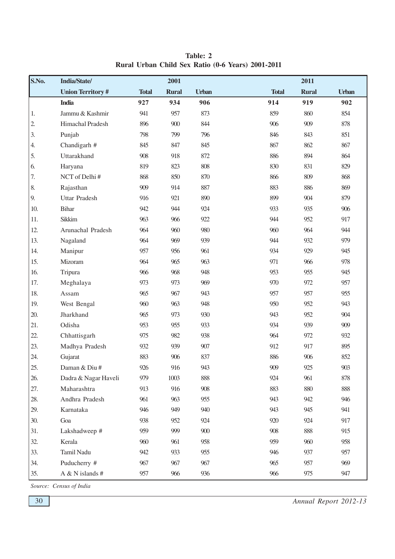| S.No.            | India/State/            |              | 2001         |              |              | 2011         |              |
|------------------|-------------------------|--------------|--------------|--------------|--------------|--------------|--------------|
|                  | <b>Union Territory#</b> | <b>Total</b> | <b>Rural</b> | <b>Urban</b> | <b>Total</b> | <b>Rural</b> | <b>Urban</b> |
|                  | <b>India</b>            | 927          | 934          | 906          | 914          | 919          | 902          |
| 1.               | Jammu & Kashmir         | 941          | 957          | 873          | 859          | 860          | 854          |
| $\overline{2}$ . | Himachal Pradesh        | 896          | 900          | 844          | 906          | 909          | 878          |
| 3.               | Punjab                  | 798          | 799          | 796          | 846          | 843          | 851          |
| 4.               | Chandigarh #            | 845          | 847          | 845          | 867          | 862          | 867          |
| 5.               | Uttarakhand             | 908          | 918          | 872          | 886          | 894          | 864          |
| 6.               | Haryana                 | 819          | 823          | 808          | 830          | 831          | 829          |
| 7.               | NCT of Delhi#           | 868          | 850          | 870          | 866          | 809          | 868          |
| $\,$ 8.          | Rajasthan               | 909          | 914          | 887          | 883          | 886          | 869          |
| 9.               | <b>Uttar Pradesh</b>    | 916          | 921          | 890          | 899          | 904          | 879          |
| 10.              | <b>Bihar</b>            | 942          | 944          | 924          | 933          | 935          | 906          |
| 11.              | Sikkim                  | 963          | 966          | 922          | 944          | 952          | 917          |
| 12.              | Arunachal Pradesh       | 964          | 960          | 980          | 960          | 964          | 944          |
| 13.              | Nagaland                | 964          | 969          | 939          | 944          | 932          | 979          |
| 14.              | Manipur                 | 957          | 956          | 961          | 934          | 929          | 945          |
| 15.              | Mizoram                 | 964          | 965          | 963          | 971          | 966          | 978          |
| 16.              | Tripura                 | 966          | 968          | 948          | 953          | 955          | 945          |
| 17.              | Meghalaya               | 973          | 973          | 969          | 970          | 972          | 957          |
| 18.              | Assam                   | 965          | 967          | 943          | 957          | 957          | 955          |
| 19.              | West Bengal             | 960          | 963          | 948          | 950          | 952          | 943          |
| 20.              | Jharkhand               | 965          | 973          | 930          | 943          | 952          | 904          |
| 21.              | Odisha                  | 953          | 955          | 933          | 934          | 939          | 909          |
| 22.              | Chhattisgarh            | 975          | 982          | 938          | 964          | 972          | 932          |
| 23.              | Madhya Pradesh          | 932          | 939          | 907          | 912          | 917          | 895          |
| 24.              | Gujarat                 | 883          | 906          | 837          | 886          | 906          | 852          |
| 25.              | Daman & Diu#            | 926          | 916          | 943          | 909          | 925          | 903          |
| 26.              | Dadra & Nagar Haveli    | 979          | 1003         | 888          | 924          | 961          | 878          |
| 27.              | Maharashtra             | 913          | 916          | 908          | 883          | 880          | 888          |
| 28.              | Andhra Pradesh          | 961          | 963          | 955          | 943          | 942          | 946          |
| 29.              | Karnataka               | 946          | 949          | 940          | 943          | 945          | 941          |
| 30.              | Goa                     | 938          | 952          | 924          | 920          | 924          | 917          |
| 31.              | Lakshadweep #           | 959          | 999          | 900          | 908          | 888          | 915          |
| 32.              | Kerala                  | 960          | 961          | 958          | 959          | 960          | 958          |
| 33.              | Tamil Nadu              | 942          | 933          | 955          | 946          | 937          | 957          |
| 34.              | Puducherry #            | 967          | 967          | 967          | 965          | 957          | 969          |
| 35.              | A & N islands #         | 957          | 966          | 936          | 966          | 975          | 947          |

**Table: 2 Rural Urban Child Sex Ratio (0-6 Years) 2001-2011**

*Source: Census of India*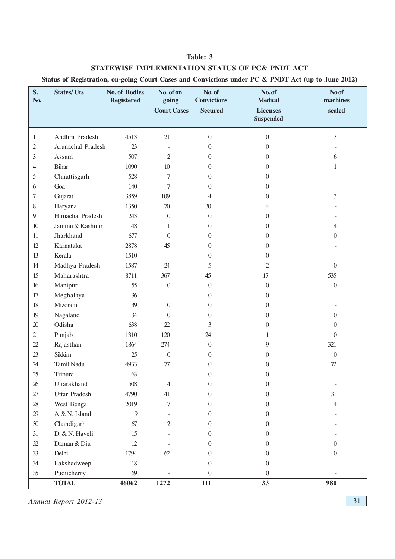## **Table: 3**

## **STATEWISE IMPLEMENTATION STATUS OF PC& PNDT ACT**

**Status of Registration, on-going Court Cases and Convictions under PC & PNDT Act (up to June 2012)**

| S.<br>No.       | <b>States/Uts</b>    | <b>No. of Bodies</b><br><b>Registered</b> | No. of on<br>going<br><b>Court Cases</b> | No. of<br><b>Convictions</b><br><b>Secured</b> | No. of<br><b>Medical</b><br><b>Licenses</b><br><b>Suspended</b> | No of<br>machines<br>sealed |
|-----------------|----------------------|-------------------------------------------|------------------------------------------|------------------------------------------------|-----------------------------------------------------------------|-----------------------------|
|                 |                      |                                           |                                          |                                                |                                                                 |                             |
| $\mathbf{1}$    | Andhra Pradesh       | 4513                                      | 21                                       | $\mathbf{0}$                                   | $\overline{0}$                                                  | 3                           |
| $\mathbf{2}$    | Arunachal Pradesh    | 23                                        |                                          | $\boldsymbol{0}$                               | $\overline{0}$                                                  |                             |
| 3               | Assam                | 507                                       | $\mathfrak{2}$                           | $\overline{0}$                                 | $\overline{0}$                                                  | 6                           |
| 4               | Bihar                | 1090                                      | 10                                       | $\overline{0}$                                 | $\overline{0}$                                                  | 1                           |
| 5               | Chhattisgarh         | 528                                       | 7                                        | 0                                              | $\overline{0}$                                                  |                             |
| 6               | Goa                  | 140                                       | 7                                        | 0                                              | $\overline{0}$                                                  |                             |
| 7               | Gujarat              | 3859                                      | 109                                      | 4                                              | $\overline{0}$                                                  | 3                           |
| 8               | Haryana              | 1350                                      | $70\,$                                   | 30                                             | 4                                                               |                             |
| 9               | Himachal Pradesh     | 243                                       | $\overline{0}$                           | $\mathbf{0}$                                   | $\overline{0}$                                                  |                             |
| $10$            | Jammu & Kashmir      | 148                                       | 1                                        | 0                                              | $\overline{0}$                                                  | 4                           |
| 11              | Jharkhand            | 677                                       | $\overline{0}$                           | 0                                              | $\theta$                                                        | $\overline{0}$              |
| 12              | Karnataka            | 2878                                      | 45                                       | $\theta$                                       | $\theta$                                                        |                             |
| 13              | Kerala               | 1510                                      | $\overline{\phantom{a}}$                 | 0                                              | $\theta$                                                        |                             |
| 14              | Madhya Pradesh       | 1587                                      | 24                                       | 5                                              | 2                                                               | $\Omega$                    |
| 15              | Maharashtra          | 8711                                      | 367                                      | 45                                             | 17                                                              | 535                         |
| 16              | Manipur              | 55                                        | $\overline{0}$                           | $\overline{0}$                                 | $\boldsymbol{0}$                                                | $\overline{0}$              |
| 17              | Meghalaya            | 36                                        |                                          | $\boldsymbol{0}$                               | $\overline{0}$                                                  |                             |
| 18              | Mizoram              | 39                                        | $\overline{0}$                           | $\boldsymbol{0}$                               | $\overline{0}$                                                  |                             |
| 19              | Nagaland             | 34                                        | $\Omega$                                 | $\boldsymbol{0}$                               | $\boldsymbol{0}$                                                | $\overline{0}$              |
| $20\,$          | Odisha               | 638                                       | $22\,$                                   | 3                                              | $\theta$                                                        | $\overline{0}$              |
| 21              | Punjab               | 1310                                      | 120                                      | 24                                             | 1                                                               | $\overline{0}$              |
| 22              | Rajasthan            | 1864                                      | 274                                      | $\mathbf{0}$                                   | 9                                                               | 321                         |
| $23\,$          | Sikkim               | 25                                        | $\boldsymbol{0}$                         | 0                                              | $\theta$                                                        | $\Omega$                    |
| 24              | Tamil Nadu           | 4933                                      | $77\,$                                   | 0                                              | $\theta$                                                        | $72\,$                      |
| 25              | Tripura              | 63                                        |                                          | $\theta$                                       | $\overline{0}$                                                  |                             |
| 26              | Uttarakhand          | 508                                       | 4                                        | $\overline{0}$                                 | 0                                                               | $\overline{\phantom{a}}$    |
| $27\,$          | <b>Uttar Pradesh</b> | 4790                                      | 41                                       | $\boldsymbol{0}$                               | $\overline{0}$                                                  | 31                          |
| $28\,$          | West Bengal          | 2019                                      | 7                                        | $\theta$                                       | $\Omega$                                                        | $\overline{4}$              |
| 29              | A & N. Island        | 9                                         |                                          | $\boldsymbol{0}$                               | $\theta$                                                        |                             |
| 30 <sup>°</sup> | Chandigarh           | 67                                        | $\overline{c}$                           | $\overline{0}$                                 | $\Omega$                                                        |                             |
| 31              | D. & N. Haveli       | 15                                        |                                          | $\boldsymbol{0}$                               | $\Omega$                                                        |                             |
| 32              | Daman & Diu          | 12                                        |                                          | $\overline{0}$                                 | $\overline{0}$                                                  | $\overline{0}$              |
| 33              | Delhi                | 1794                                      | 62                                       | 0                                              | $\Omega$                                                        | $\overline{0}$              |
| 34              | Lakshadweep          | $18\,$                                    |                                          | $\boldsymbol{0}$                               | $\overline{0}$                                                  |                             |
| 35              | Puducherry           | 69                                        |                                          | $\boldsymbol{0}$                               | $\overline{0}$                                                  |                             |
|                 | <b>TOTAL</b>         | 46062                                     | 1272                                     | 111                                            | 33                                                              | 980                         |

*Annual Report 2012-13* 31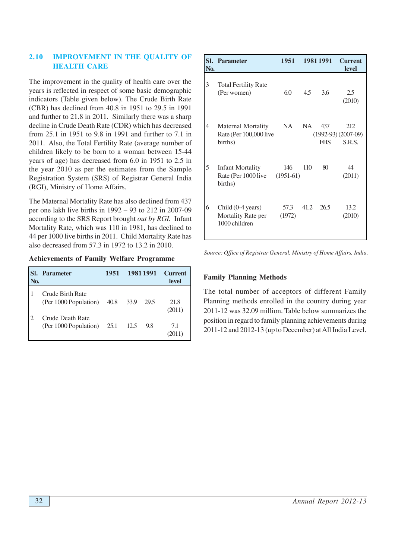# **2.10 IMPROVEMENT IN THE QUALITY OF HEALTH CARE**

The improvement in the quality of health care over the years is reflected in respect of some basic demographic indicators (Table given below). The Crude Birth Rate (CBR) has declined from 40.8 in 1951 to 29.5 in 1991 and further to 21.8 in 2011. Similarly there was a sharp decline in Crude Death Rate (CDR) which has decreased from 25.1 in 1951 to 9.8 in 1991 and further to 7.1 in 2011. Also, the Total Fertility Rate (average number of children likely to be born to a woman between 15-44 years of age) has decreased from 6.0 in 1951 to 2.5 in the year 2010 as per the estimates from the Sample Registration System (SRS) of Registrar General India (RGI), Ministry of Home Affairs.

The Maternal Mortality Rate has also declined from 437 per one lakh live births in 1992 – 93 to 212 in 2007-09 according to the SRS Report brought *out by RGI.* Infant Mortality Rate, which was 110 in 1981, has declined to 44 per 1000 live births in 2011. Child Mortality Rate has also decreased from 57.3 in 1972 to 13.2 in 2010.

**Achievements of Family Welfare Programme**

| N <sub>0</sub> | <b>Parameter</b>                                 | 1951 |      | 1981 1991 | <b>Current</b><br>level |
|----------------|--------------------------------------------------|------|------|-----------|-------------------------|
|                | Crude Birth Rate<br>(Per 1000 Population)        | 40.8 | 33.9 | 29.5      | 21.8<br>(2011)          |
|                | <b>Crude Death Rate</b><br>(Per 1000 Population) | 25.1 | 12.5 | 9.8       | 7.1                     |

| N <sub>0</sub> . | <b>Sl.</b> Parameter                                                | 1951           |           | 1981 1991         | <b>Current</b><br><b>level</b>        |
|------------------|---------------------------------------------------------------------|----------------|-----------|-------------------|---------------------------------------|
| 3                | <b>Total Fertility Rate</b><br>(Per women)                          | 6.0            | 4.5       | 3.6               | 2.5<br>(2010)                         |
| 4                | <b>Maternal Mortality</b><br>Rate (Per 100,000 live<br>births)      | <b>NA</b>      | <b>NA</b> | 437<br><b>FHS</b> | 212<br>$(1992-93)(2007-09)$<br>S.R.S. |
| 5                | <b>Infant Mortality</b><br>Rate (Per 1000 live (1951-61)<br>births) | 146            | 110       | 80                | 44<br>(2011)                          |
| 6                | Child (0-4 years)<br>Mortality Rate per<br>1000 children            | 57.3<br>(1972) | 41.2      | 26.5              | 13.2<br>(2010)                        |

*Source: Office of Registrar General, Ministry of Home Affairs, India.*

## **Family Planning Methods**

The total number of acceptors of different Family Planning methods enrolled in the country during year 2011-12 was 32.09 million. Table below summarizes the position in regard to family planning achievements during 2011-12 and 2012-13 (up to December) at All India Level.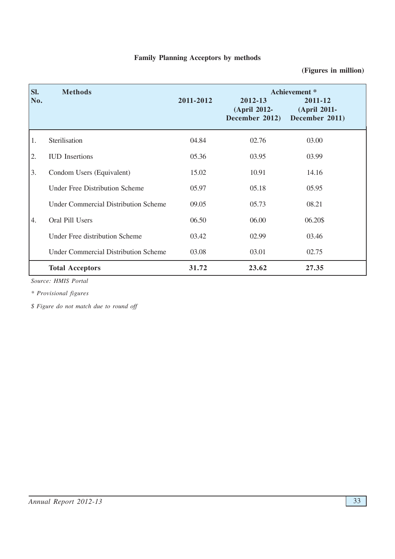# **Family Planning Acceptors by methods**

# **(Figures in million)**

| SI.<br>No. | <b>Methods</b>                              | 2011-2012 | 2012-13<br>(April 2012-<br>December 2012) | Achievement *<br>2011-12<br>(April 2011-<br>December 2011) |
|------------|---------------------------------------------|-----------|-------------------------------------------|------------------------------------------------------------|
| 1.         | Sterilisation                               | 04.84     | 02.76                                     | 03.00                                                      |
| 2.         | <b>IUD</b> Insertions                       | 05.36     | 03.95                                     | 03.99                                                      |
| 3.         | Condom Users (Equivalent)                   | 15.02     | 10.91                                     | 14.16                                                      |
|            | <b>Under Free Distribution Scheme</b>       | 05.97     | 05.18                                     | 05.95                                                      |
|            | <b>Under Commercial Distribution Scheme</b> | 09.05     | 05.73                                     | 08.21                                                      |
| 4.         | Oral Pill Users                             | 06.50     | 06.00                                     | 06.20\$                                                    |
|            | <b>Under Free distribution Scheme</b>       | 03.42     | 02.99                                     | 03.46                                                      |
|            | <b>Under Commercial Distribution Scheme</b> | 03.08     | 03.01                                     | 02.75                                                      |
|            | <b>Total Acceptors</b>                      | 31.72     | 23.62                                     | 27.35                                                      |

*Source: HMIS Portal*

*\* Provisional figures*

*\$ Figure do not match due to round off*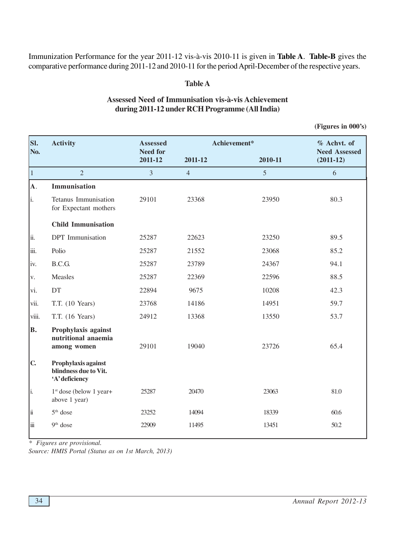Immunization Performance for the year 2011-12 vis-à-vis 2010-11 is given in **Table A**. **Table-B** gives the comparative performance during 2011-12 and 2010-11 for the period April-December of the respective years.

## **Table A**

# **Assessed Need of Immunisation vis-à-vis Achievement during 2011-12 under RCH Programme (All India)**

 **(Figures in 000's)**

| SI.<br>No.   | <b>Activity</b>                                                | Assessed<br><b>Need for</b> | Achievement*   |         | % Achvt. of<br><b>Need Assessed</b> |
|--------------|----------------------------------------------------------------|-----------------------------|----------------|---------|-------------------------------------|
|              |                                                                | 2011-12                     | 2011-12        | 2010-11 | $(2011-12)$                         |
| $\vert$ 1    | $\overline{2}$                                                 | $\overline{3}$              | $\overline{4}$ | 5       | 6                                   |
| A.           | Immunisation                                                   |                             |                |         |                                     |
| li.          | Tetanus Immunisation<br>for Expectant mothers                  | 29101                       | 23368          | 23950   | 80.3                                |
|              | <b>Child Immunisation</b>                                      |                             |                |         |                                     |
| lii.         | DPT Immunisation                                               | 25287                       | 22623          | 23250   | 89.5                                |
| iii.         | Polio                                                          | 25287                       | 21552          | 23068   | 85.2                                |
| iv.          | B.C.G.                                                         | 25287                       | 23789          | 24367   | 94.1                                |
| V.           | Measles                                                        | 25287                       | 22369          | 22596   | 88.5                                |
| vi.          | DT                                                             | 22894                       | 9675           | 10208   | 42.3                                |
| vii.         | T.T. (10 Years)                                                | 23768                       | 14186          | 14951   | 59.7                                |
| viii.        | T.T. (16 Years)                                                | 24912                       | 13368          | 13550   | 53.7                                |
| B.           | Prophylaxis against<br>nutritional anaemia<br>among women      | 29101                       | 19040          | 23726   | 65.4                                |
| $\mathbf{C}$ | Prophylaxis against<br>blindness due to Vit.<br>'A' deficiency |                             |                |         |                                     |
| li.          | $1st$ dose (below 1 year+<br>above 1 year)                     | 25287                       | 20470          | 23063   | 81.0                                |
| Ιï           | $5th$ dose                                                     | 23252                       | 14094          | 18339   | 60.6                                |
| İii          | 9 <sup>th</sup> dose                                           | 22909                       | 11495          | 13451   | 50.2                                |

*\* Figures are provisional.*

*Source: HMIS Portal (Status as on 1st March, 2013)*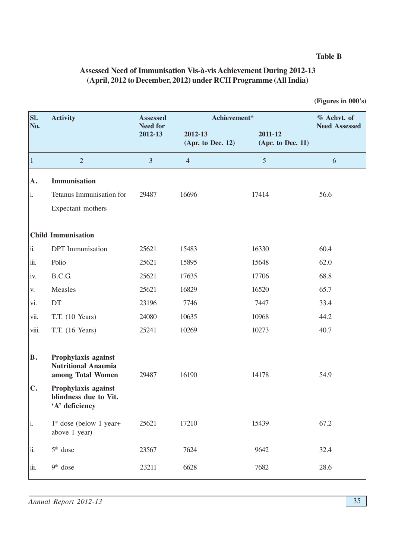## **Table B**

 **(Figures in 000's)**

| SI.            | <b>Activity</b>                                                        | <b>Assessed</b>            | Achievement*                 | % Achvt. of                  |                      |
|----------------|------------------------------------------------------------------------|----------------------------|------------------------------|------------------------------|----------------------|
| No.            |                                                                        | <b>Need for</b><br>2012-13 | 2012-13<br>(Apr. to Dec. 12) | 2011-12<br>(Apr. to Dec. 11) | <b>Need Assessed</b> |
| $\vert$ 1      | $\overline{2}$                                                         | $\overline{3}$             | $\overline{4}$               | $\mathfrak{S}$               | 6                    |
| A.             | Immunisation                                                           |                            |                              |                              |                      |
| i.             | Tetanus Immunisation for                                               | 29487                      | 16696                        | 17414                        | 56.6                 |
|                | Expectant mothers                                                      |                            |                              |                              |                      |
|                | <b>Child Immunisation</b>                                              |                            |                              |                              |                      |
| ii.            | <b>DPT</b> Immunisation                                                | 25621                      | 15483                        | 16330                        | 60.4                 |
| iii.           | Polio                                                                  | 25621                      | 15895                        | 15648                        | 62.0                 |
| iv.            | B.C.G.                                                                 | 25621                      | 17635                        | 17706                        | 68.8                 |
| V.             | Measles                                                                | 25621                      | 16829                        | 16520                        | 65.7                 |
| vi.            | DT                                                                     | 23196                      | 7746                         | 7447                         | 33.4                 |
| vii.           | T.T. (10 Years)                                                        | 24080                      | 10635                        | 10968                        | 44.2                 |
| viii.          | T.T. (16 Years)                                                        | 25241                      | 10269                        | 10273                        | 40.7                 |
| B.             | Prophylaxis against<br><b>Nutritional Anaemia</b><br>among Total Women | 29487                      | 16190                        | 14178                        | 54.9                 |
| $\mathbf{C}$ . | Prophylaxis against<br>blindness due to Vit.<br>'A' deficiency         |                            |                              |                              |                      |
| i.             | $1st$ dose (below 1 year+<br>above 1 year)                             | 25621                      | 17210                        | 15439                        | 67.2                 |
| ii.            | 5 <sup>th</sup> dose                                                   | 23567                      | 7624                         | 9642                         | 32.4                 |
| iii.           | 9 <sup>th</sup> dose                                                   | 23211                      | 6628                         | 7682                         | 28.6                 |

# **Assessed Need of Immunisation Vis-à-vis Achievement During 2012-13 (April, 2012 to December, 2012) under RCH Programme (All India)**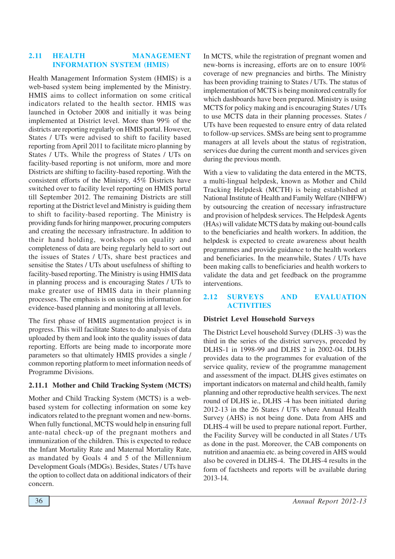#### **2.11 HEALTH MANAGEMENT INFORMATION SYSTEM (HMIS)**

Health Management Information System (HMIS) is a web-based system being implemented by the Ministry. HMIS aims to collect information on some critical indicators related to the health sector. HMIS was launched in October 2008 and initially it was being implemented at District level. More than 99% of the districts are reporting regularly on HMIS portal. However, States / UTs were advised to shift to facility based reporting from April 2011 to facilitate micro planning by States / UTs. While the progress of States / UTs on facility-based reporting is not uniform, more and more Districts are shifting to facility-based reporting. With the consistent efforts of the Ministry, 45% Districts have switched over to facility level reporting on HMIS portal till September 2012. The remaining Districts are still reporting at the District level and Ministry is guiding them to shift to facility-based reporting. The Ministry is providing funds for hiring manpower, procuring computers and creating the necessary infrastructure. In addition to their hand holding, workshops on quality and completeness of data are being regularly held to sort out the issues of States / UTs, share best practices and sensitise the States / UTs about usefulness of shifting to facility-based reporting. The Ministry is using HMIS data in planning process and is encouraging States / UTs to make greater use of HMIS data in their planning processes. The emphasis is on using this information for evidence-based planning and monitoring at all levels.

The first phase of HMIS augmentation project is in progress. This will facilitate States to do analysis of data uploaded by them and look into the quality issues of data reporting. Efforts are being made to incorporate more parameters so that ultimately HMIS provides a single / common reporting platform to meet information needs of Programme Divisions.

## **2.11.1 Mother and Child Tracking System (MCTS)**

Mother and Child Tracking System (MCTS) is a webbased system for collecting information on some key indicators related to the pregnant women and new-borns. When fully functional, MCTS would help in ensuring full ante-natal check-up of the pregnant mothers and immunization of the children. This is expected to reduce the Infant Mortality Rate and Maternal Mortality Rate, as mandated by Goals 4 and 5 of the Millennium Development Goals (MDGs). Besides, States / UTs have the option to collect data on additional indicators of their concern.

In MCTS, while the registration of pregnant women and new-borns is increasing, efforts are on to ensure 100% coverage of new pregnancies and births. The Ministry has been providing training to States / UTs. The status of implementation of MCTS is being monitored centrally for which dashboards have been prepared. Ministry is using MCTS for policy making and is encouraging States / UTs to use MCTS data in their planning processes. States / UTs have been requested to ensure entry of data related to follow-up services. SMSs are being sent to programme managers at all levels about the status of registration, services due during the current month and services given during the previous month.

With a view to validating the data entered in the MCTS, a multi-lingual helpdesk, known as Mother and Child Tracking Helpdesk (MCTH) is being established at National Institute of Health and Family Welfare (NIHFW) by outsourcing the creation of necessary infrastructure and provision of helpdesk services. The Helpdesk Agents (HAs) will validate MCTS data by making out-bound calls to the beneficiaries and health workers. In addition, the helpdesk is expected to create awareness about health programmes and provide guidance to the health workers and beneficiaries. In the meanwhile, States / UTs have been making calls to beneficiaries and health workers to validate the data and get feedback on the programme interventions.

#### **2.12 SURVEYS AND EVALUATION ACTIVITIES**

#### **District Level Household Surveys**

The District Level household Survey (DLHS -3) was the third in the series of the district surveys, preceded by DLHS-1 in 1998-99 and DLHS 2 in 2002-04. DLHS provides data to the programmes for evaluation of the service quality, review of the programme management and assessment of the impact. DLHS gives estimates on important indicators on maternal and child health, family planning and other reproductive health services. The next round of DLHS ie., DLHS -4 has been initiated during 2012-13 in the 26 States / UTs where Annual Health Survey (AHS) is not being done. Data from AHS and DLHS-4 will be used to prepare national report. Further, the Facility Survey will be conducted in all States / UTs as done in the past. Moreover, the CAB components on nutrition and anaemia etc. as being covered in AHS would also be covered in DLHS-4. The DLHS-4 results in the form of factsheets and reports will be available during 2013-14.